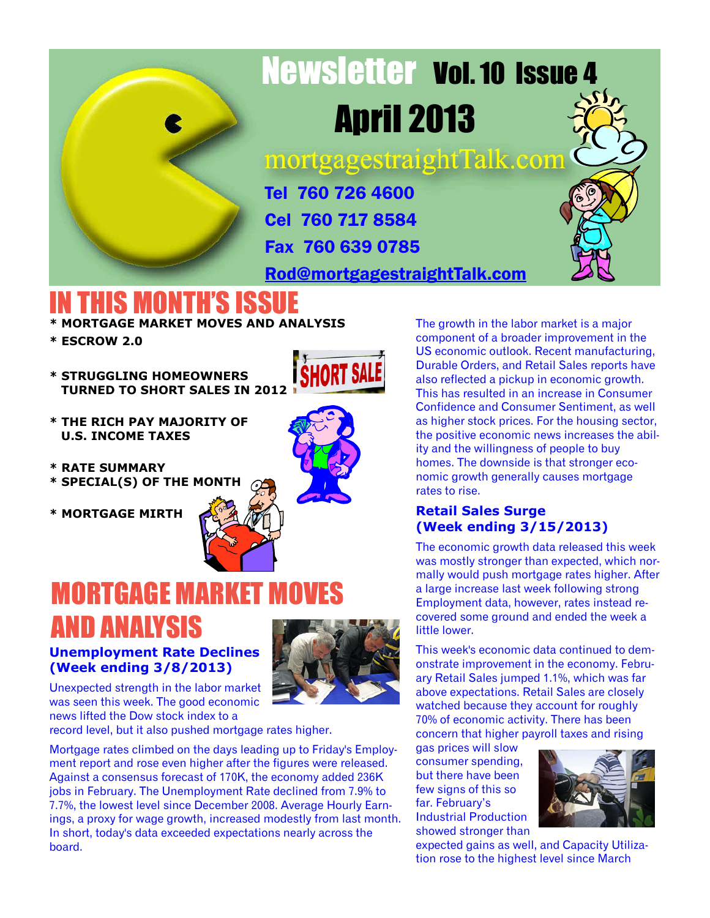

# Newsletter Vol. 10 Issue 4 April 2013

mortgagestraightTalk.com

Tel 760 726 4600 Cel 760 717 8584 Fax 760 639 0785

[Rod@mortgagestraightTalk.com](mailto:Rod@MortgageStraightTalk.com)

### **IN THIS MONTH'S ISS**

- **\* MORTGAGE MARKET MOVES AND ANALYSIS**
- **\* ESCROW 2.0**
- **\* STRUGGLING HOMEOWNERS TURNED TO SHORT SALES IN 2012**



- **\* THE RICH PAY MAJORITY OF U.S. INCOME TAXES**
- **\* RATE SUMMARY**
- **\* SPECIAL(S) OF THE MONTH**
- **\* MORTGAGE MIRTH**



### **MORTGAGE MARKET MOV** AND ANALYSIS

#### **Unemployment Rate Declines (Week ending 3/8/2013)**



Unexpected strength in the labor market was seen this week. The good economic news lifted the Dow stock index to a

record level, but it also pushed mortgage rates higher.

Mortgage rates climbed on the days leading up to Friday's Employment report and rose even higher after the figures were released. Against a consensus forecast of 170K, the economy added 236K jobs in February. The Unemployment Rate declined from 7.9% to 7.7%, the lowest level since December 2008. Average Hourly Earnings, a proxy for wage growth, increased modestly from last month. In short, today's data exceeded expectations nearly across the board.

The growth in the labor market is a major component of a broader improvement in the US economic outlook. Recent manufacturing, Durable Orders, and Retail Sales reports have also reflected a pickup in economic growth. This has resulted in an increase in Consumer Confidence and Consumer Sentiment, as well as higher stock prices. For the housing sector, the positive economic news increases the ability and the willingness of people to buy homes. The downside is that stronger economic growth generally causes mortgage rates to rise.

#### **Retail Sales Surge (Week ending 3/15/2013)**

The economic growth data released this week was mostly stronger than expected, which normally would push mortgage rates higher. After a large increase last week following strong Employment data, however, rates instead recovered some ground and ended the week a little lower.

This week's economic data continued to demonstrate improvement in the economy. February Retail Sales jumped 1.1%, which was far above expectations. Retail Sales are closely watched because they account for roughly 70% of economic activity. There has been concern that higher payroll taxes and rising

gas prices will slow consumer spending, but there have been few signs of this so far. February's Industrial Production showed stronger than



expected gains as well, and Capacity Utilization rose to the highest level since March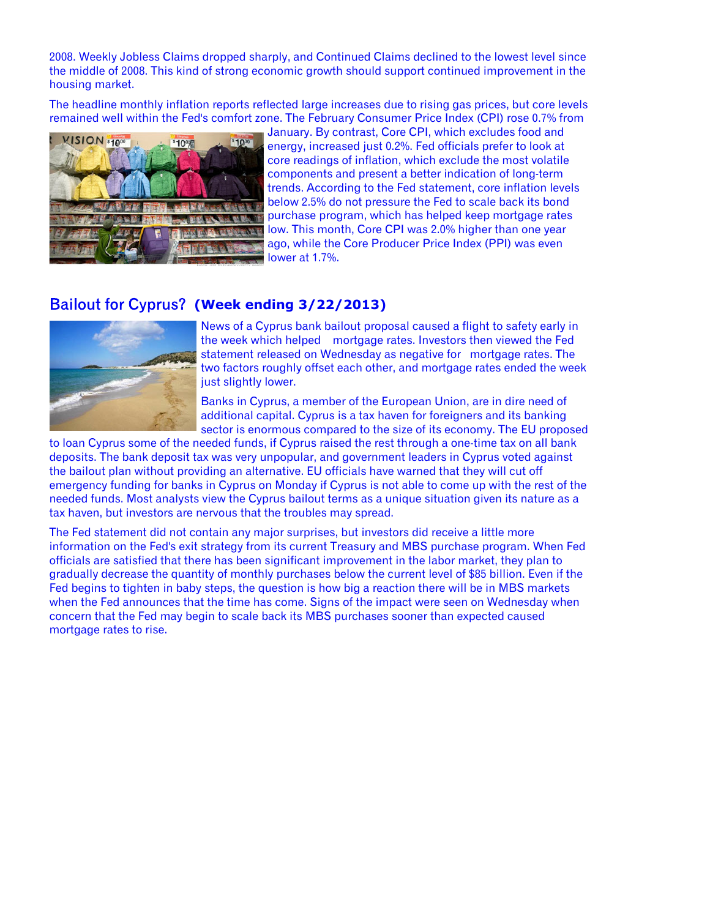2008. Weekly Jobless Claims dropped sharply, and Continued Claims declined to the lowest level since the middle of 2008. This kind of strong economic growth should support continued improvement in the housing market.

The headline monthly inflation reports reflected large increases due to rising gas prices, but core levels remained well within the Fed's comfort zone. The February Consumer Price Index (CPI) rose 0.7% from



January. By contrast, Core CPI, which excludes food and energy, increased just 0.2%. Fed officials prefer to look at core readings of inflation, which exclude the most volatile components and present a better indication of long-term trends. According to the Fed statement, core inflation levels below 2.5% do not pressure the Fed to scale back its bond purchase program, which has helped keep mortgage rates low. This month, Core CPI was 2.0% higher than one year ago, while the Core Producer Price Index (PPI) was even lower at 1.7%.

#### **(Week ending 3/22/2013)**



News of a Cyprus bank bailout proposal caused a flight to safety early in the week which helped mortgage rates. Investors then viewed the Fed statement released on Wednesday as negative for mortgage rates. The two factors roughly offset each other, and mortgage rates ended the week just slightly lower.

Banks in Cyprus, a member of the European Union, are in dire need of additional capital. Cyprus is a tax haven for foreigners and its banking sector is enormous compared to the size of its economy. The EU proposed

to loan Cyprus some of the needed funds, if Cyprus raised the rest through a one-time tax on all bank deposits. The bank deposit tax was very unpopular, and government leaders in Cyprus voted against the bailout plan without providing an alternative. EU officials have warned that they will cut off emergency funding for banks in Cyprus on Monday if Cyprus is not able to come up with the rest of the needed funds. Most analysts view the Cyprus bailout terms as a unique situation given its nature as a tax haven, but investors are nervous that the troubles may spread.

The Fed statement did not contain any major surprises, but investors did receive a little more information on the Fed's exit strategy from its current Treasury and MBS purchase program. When Fed officials are satisfied that there has been significant improvement in the labor market, they plan to gradually decrease the quantity of monthly purchases below the current level of \$85 billion. Even if the Fed begins to tighten in baby steps, the question is how big a reaction there will be in MBS markets when the Fed announces that the time has come. Signs of the impact were seen on Wednesday when concern that the Fed may begin to scale back its MBS purchases sooner than expected caused mortgage rates to rise.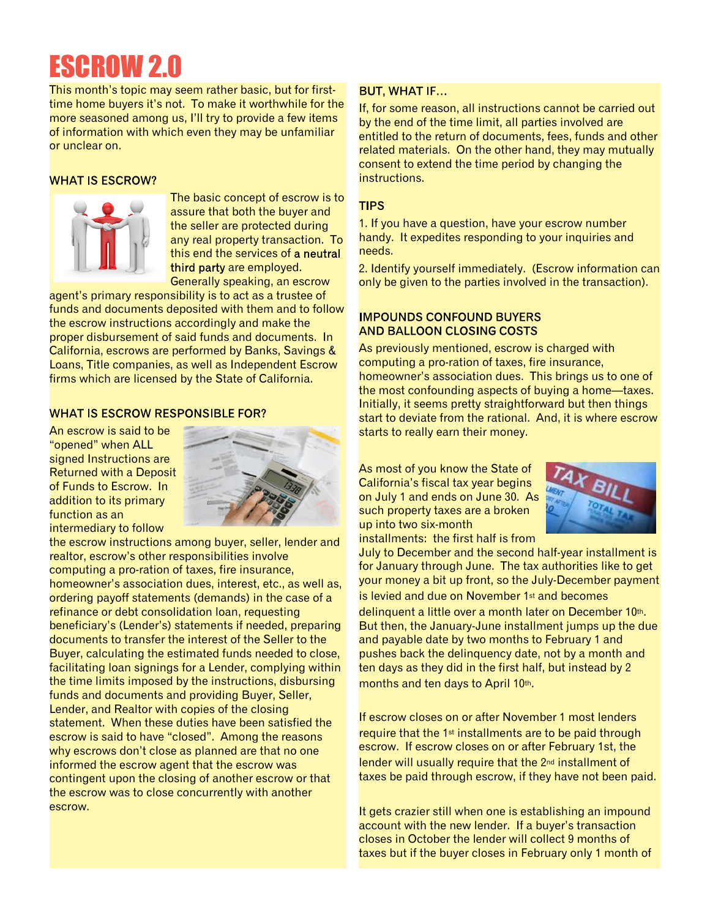### ESCROW 2.0

This month's topic may seem rather basic, but for firsttime home buyers it's not. To make it worthwhile for the more seasoned among us, I'll try to provide a few items of information with which even they may be unfamiliar or unclear on.

#### **WHAT IS ESCROW?**



The basic concept of escrow is to assure that both the buyer and the seller are protected during any real property transaction. To this end the services of a neutral third party are employed. Generally speaking, an escrow

agent's primary responsibility is to act as a trustee of funds and documents deposited with them and to follow the escrow instructions accordingly and make the proper disbursement of said funds and documents. In California, escrows are performed by Banks, Savings & Loans, Title companies, as well as Independent Escrow firms which are licensed by the State of California.

#### **WHAT IS ESCROW RESPONSIBLE FOR?**

An escrow is said to be "opened" when ALL signed Instructions are Returned with a Deposit of Funds to Escrow. In addition to its primary function as an intermediary to follow



the escrow instructions among buyer, seller, lender and realtor, escrow's other responsibilities involve computing a pro-ration of taxes, fire insurance, homeowner's association dues, interest, etc., as well as, ordering payoff statements (demands) in the case of a refinance or debt consolidation loan, requesting beneficiary's (Lender's) statements if needed, preparing documents to transfer the interest of the Seller to the Buyer, calculating the estimated funds needed to close, facilitating loan signings for a Lender, complying within the time limits imposed by the instructions, disbursing funds and documents and providing Buyer, Seller, Lender, and Realtor with copies of the closing statement. When these duties have been satisfied the escrow is said to have "closed". Among the reasons why escrows don't close as planned are that no one informed the escrow agent that the escrow was contingent upon the closing of another escrow or that the escrow was to close concurrently with another escrow.

#### **BUT, WHAT IF...**

If, for some reason, all instructions cannot be carried out by the end of the time limit, all parties involved are entitled to the return of documents, fees, funds and other related materials. On the other hand, they may mutually consent to extend the time period by changing the instructions.

#### **TIPS**

1. If you have a question, have your escrow number handy. It expedites responding to your inquiries and needs.

2. Identify yourself immediately. (Escrow information can only be given to the parties involved in the transaction).

#### **IMPOUNDS CONFOUND BUYERS AND BALLOON CLOSING COSTS**

As previously mentioned, escrow is charged with computing a pro-ration of taxes, fire insurance, homeowner's association dues. This brings us to one of the most confounding aspects of buying a home—taxes. Initially, it seems pretty straightforward but then things start to deviate from the rational. And, it is where escrow starts to really earn their money.

As most of you know the State of California's fiscal tax year begins on July 1 and ends on June 30. As such property taxes are a broken up into two six-month installments: the first half is from



July to December and the second half-year installment is for January through June. The tax authorities like to get your money a bit up front, so the July-December payment is levied and due on November 1st and becomes delinquent a little over a month later on December 10th. But then, the January-June installment jumps up the due and payable date by two months to February 1 and pushes back the delinquency date, not by a month and ten days as they did in the first half, but instead by 2 months and ten days to April 10th.

If escrow closes on or after November 1 most lenders require that the 1<sup>st</sup> installments are to be paid through escrow. If escrow closes on or after February 1st, the lender will usually require that the 2<sup>nd</sup> installment of taxes be paid through escrow, if they have not been paid.

It gets crazier still when one is establishing an impound account with the new lender. If a buyer's transaction closes in October the lender will collect 9 months of taxes but if the buyer closes in February only 1 month of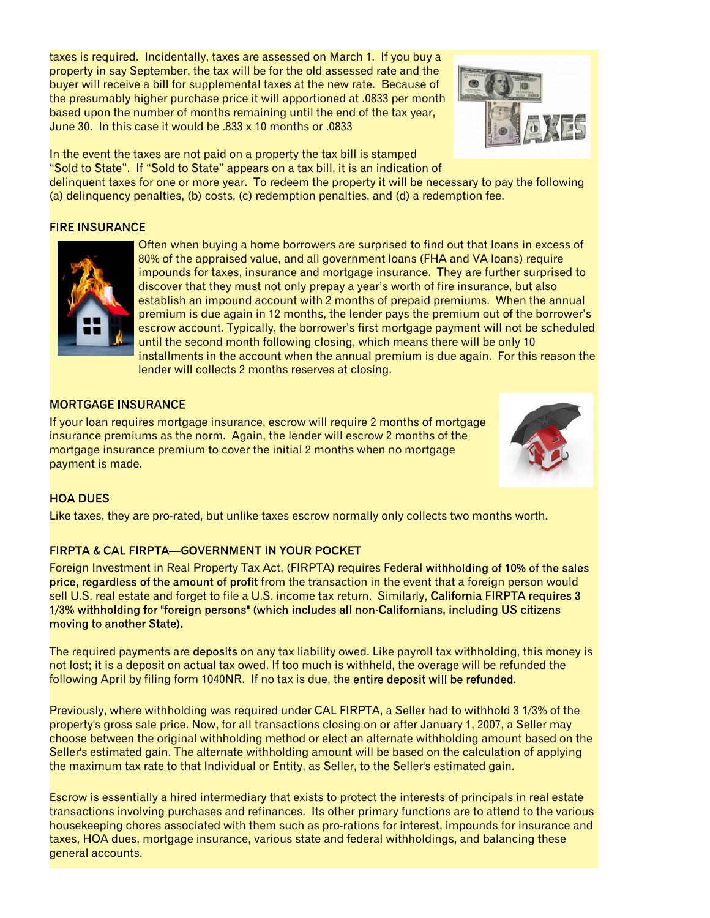taxes is required. Incidentally, taxes are assessed on March 1. If you buy a property in say September, the tax will be for the old assessed rate and the buyer will receive a bill for supplemental taxes at the new rate. Because of the presumably higher purchase price it will apportioned at .0833 per month based upon the number of months remaining until the end of the tax year, June 30. In this case it would be .833 x 10 months or .0833



In the event the taxes are not paid on a property the tax bill is stamped "Sold to State". If "Sold to State" appears on a tax bill, it is an indication of

delinquent taxes for one or more year. To redeem the property it will be necessary to pay the following (a) delinquency penalties, (b) costs, (c) redemption penalties, and (d) a redemption fee.

#### **FIRE INSURANCE**



Often when buying a home borrowers are surprised to find out that loans in excess of 80% of the appraised value, and all government loans (FHA and VA loans) require impounds for taxes, insurance and mortgage insurance. They are further surprised to discover that they must not only prepay a year's worth of fire insurance, but also establish an impound account with 2 months of prepaid premiums. When the annual premium is due again in 12 months, the lender pays the premium out of the borrower's escrow account. Typically, the borrower's first mortgage payment will not be scheduled until the second month following closing, which means there will be only 10 installments in the account when the annual premium is due again. For this reason the lender will collects 2 months reserves at closing.

#### **MORTGAGE INSURANCE**

If your loan requires mortgage insurance, escrow will require 2 months of mortgage insurance premiums as the norm. Again, the lender will escrow 2 months of the mortgage insurance premium to cover the initial 2 months when no mortgage payment is made.



#### **HOA DUES**

Like taxes, they are pro-rated, but unlike taxes escrow normally only collects two months worth.

#### **FIRPTA & CAL FIRPTA-GOVERNMENT IN YOUR POCKET**

Foreign Investment in Real Property Tax Act, (FIRPTA) requires Federal withholding of 10% of the sales price, regardless of the amount of profit from the transaction in the event that a foreign person would sell U.S. real estate and forget to file a U.S. income tax return. Similarly, California FIRPTA requires 3 1/3% withholding for "foreign persons" (which includes all non-Californians, including US citizens moving to another State).

The required payments are deposits on any tax liability owed. Like payroll tax withholding, this money is not lost; it is a deposit on actual tax owed. If too much is withheld, the overage will be refunded the following April by filing form 1040NR. If no tax is due, the entire deposit will be refunded.

Previously, where withholding was required under CAL FIRPTA, a Seller had to withhold 3 1/3% of the property's gross sale price. Now, for all transactions closing on or after January 1, 2007, a Seller may choose between the original withholding method or elect an alternate withholding amount based on the Seller's estimated gain. The alternate withholding amount will be based on the calculation of applying the maximum tax rate to that Individual or Entity, as Seller, to the Seller's estimated gain.

Escrow is essentially a hired intermediary that exists to protect the interests of principals in real estate transactions involving purchases and refinances. Its other primary functions are to attend to the various housekeeping chores associated with them such as pro-rations for interest, impounds for insurance and taxes, HOA dues, mortgage insurance, various state and federal withholdings, and balancing these general accounts.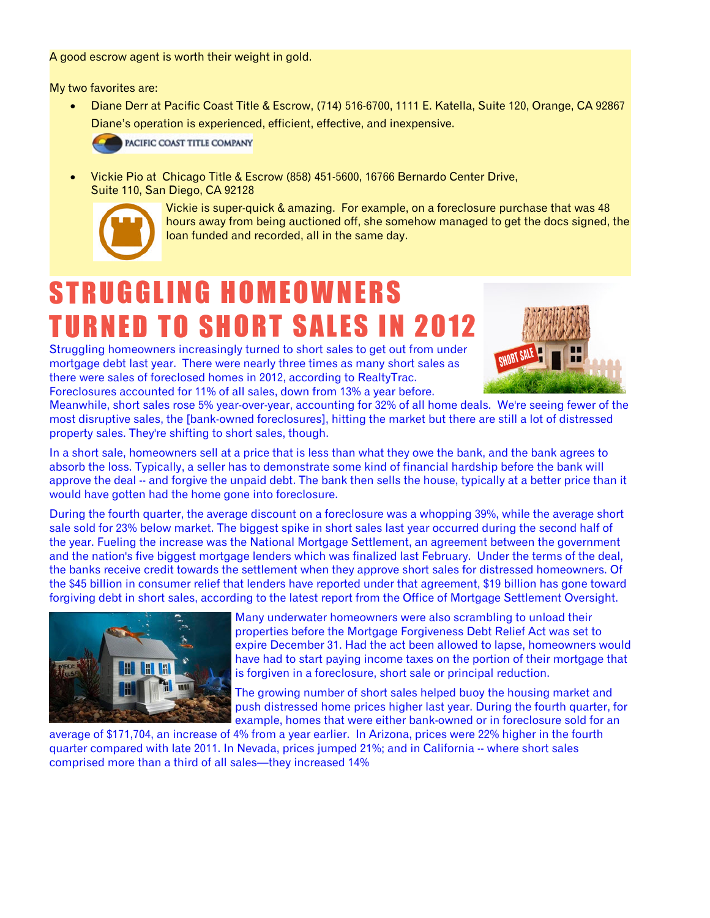A good escrow agent is worth their weight in gold.

My two favorites are:

· Diane Derr at Pacific Coast Title & Escrow, (714) 516-6700, 1111 E. Katella, Suite 120, Orange, CA 92867 Diane's operation is experienced, efficient, effective, and inexpensive.



PACIFIC COAST TITLE COMPANY

· Vickie Pio at Chicago Title & Escrow (858) 451-5600, 16766 Bernardo Center Drive, Suite 110, San Diego, CA 92128



Vickie is super-quick & amazing. For example, on a foreclosure purchase that was 48 hours away from being auctioned off, she somehow managed to get the docs signed, the loan funded and recorded, all in the same day.

### STRUGGLING HOMEOWNERS **TURNED TO SHORT SALES IN 2012**

Struggling homeowners increasingly turned to short sales to get out from under mortgage debt last year. There were nearly three times as many short sales as there were sales of foreclosed homes in 2012, according to RealtyTrac. Foreclosures accounted for 11% of all sales, down from 13% a year before.



Meanwhile, short sales rose 5% year-over-year, accounting for 32% of all home deals. We're seeing fewer of the most disruptive sales, the [bank-owned foreclosures], hitting the market but there are still a lot of distressed property sales. They're shifting to short sales, though.

In a short sale, homeowners sell at a price that is less than what they owe the bank, and the bank agrees to absorb the loss. Typically, a seller has to demonstrate some kind of financial hardship before the bank will approve the deal -- and forgive the unpaid debt. The bank then sells the house, typically at a better price than it would have gotten had the home gone into foreclosure.

During the fourth quarter, the average discount on a foreclosure was a whopping 39%, while the average short sale sold for 23% below market. The biggest spike in short sales last year occurred during the second half of the year. Fueling the increase was the National Mortgage Settlement, an agreement between the government and the nation's five biggest mortgage lenders which was finalized last February. Under the terms of the deal, the banks receive credit towards the settlement when they approve short sales for distressed homeowners. Of the \$45 billion in consumer relief that lenders have reported under that agreement, \$19 billion has gone toward forgiving debt in short sales, according to the latest report from the Office of Mortgage Settlement Oversight.



Many underwater homeowners were also scrambling to unload their properties before the Mortgage Forgiveness Debt Relief Act was set to expire December 31. Had the act been allowed to lapse, homeowners would have had to start paying income taxes on the portion of their mortgage that is forgiven in a foreclosure, short sale or principal reduction.

The growing number of short sales helped buoy the housing market and push distressed home prices higher last year. During the fourth quarter, for example, homes that were either bank-owned or in foreclosure sold for an

average of \$171,704, an increase of 4% from a year earlier. In Arizona, prices were 22% higher in the fourth quarter compared with late 2011. In Nevada, prices jumped 21%; and in California -- where short sales comprised more than a third of all sales—they increased 14%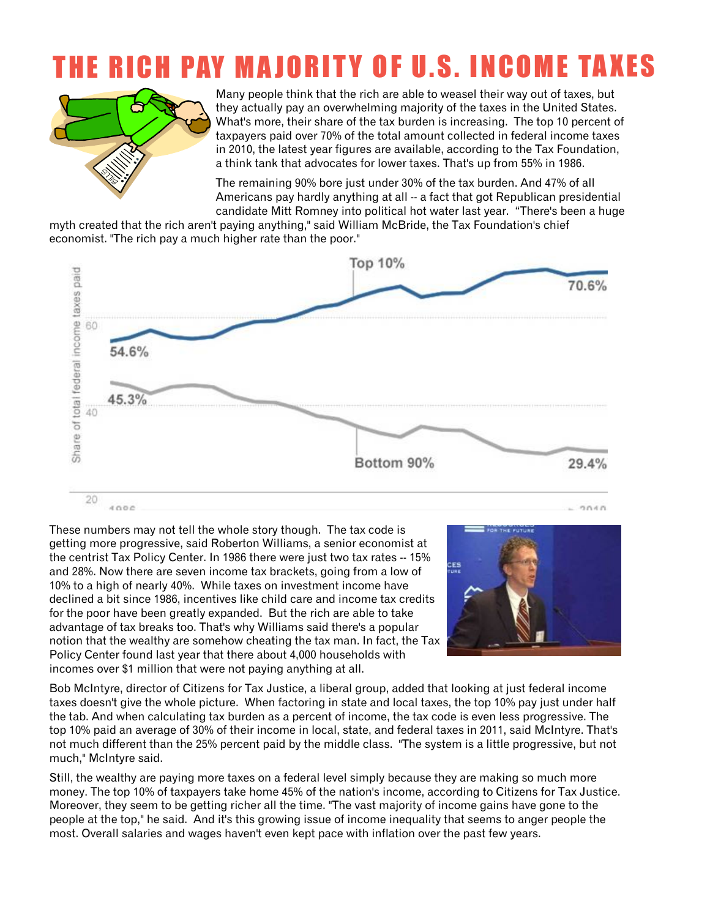### THE RICH PAY MAJORITY OF U.S. INCOME TAXES



Many people think that the rich are able to weasel their way out of taxes, but they actually pay an overwhelming majority of the taxes in the United States. What's more, their share of the tax burden is increasing. The top 10 percent of taxpayers paid over 70% of the total amount collected in federal income taxes in 2010, the latest year figures are available, according to the Tax Foundation, a think tank that advocates for lower taxes. That's up from 55% in 1986.

The remaining 90% bore just under 30% of the tax burden. And 47% of all Americans pay hardly anything at all -- a fact that got Republican presidential candidate Mitt Romney into political hot water last year. "There's been a huge

myth created that the rich aren't paying anything," said William McBride, the Tax Foundation's chief economist. "The rich pay a much higher rate than the poor."



These numbers may not tell the whole story though. The tax code is getting more progressive, said Roberton Williams, a senior economist at the centrist Tax Policy Center. In 1986 there were just two tax rates -- 15% and 28%. Now there are seven income tax brackets, going from a low of 10% to a high of nearly 40%. While taxes on investment income have declined a bit since 1986, incentives like child care and income tax credits for the poor have been greatly expanded. But the rich are able to take advantage of tax breaks too. That's why Williams said there's a popular notion that the wealthy are somehow cheating the tax man. In fact, the Tax Policy Center found last year that there about 4,000 households with incomes over \$1 million that were not paying anything at all.



Bob McIntyre, director of Citizens for Tax Justice, a liberal group, added that looking at just federal income taxes doesn't give the whole picture. When factoring in state and local taxes, the top 10% pay just under half the tab. And when calculating tax burden as a percent of income, the tax code is even less progressive. The top 10% paid an average of 30% of their income in local, state, and federal taxes in 2011, said McIntyre. That's not much different than the 25% percent paid by the middle class. "The system is a little progressive, but not much," McIntyre said.

Still, the wealthy are paying more taxes on a federal level simply because they are making so much more money. The top 10% of taxpayers take home 45% of the nation's income, according to Citizens for Tax Justice. Moreover, they seem to be getting richer all the time. "The vast majority of income gains have gone to the people at the top," he said. And it's this growing issue of income inequality that seems to anger people the most. Overall salaries and wages haven't even kept pace with inflation over the past few years.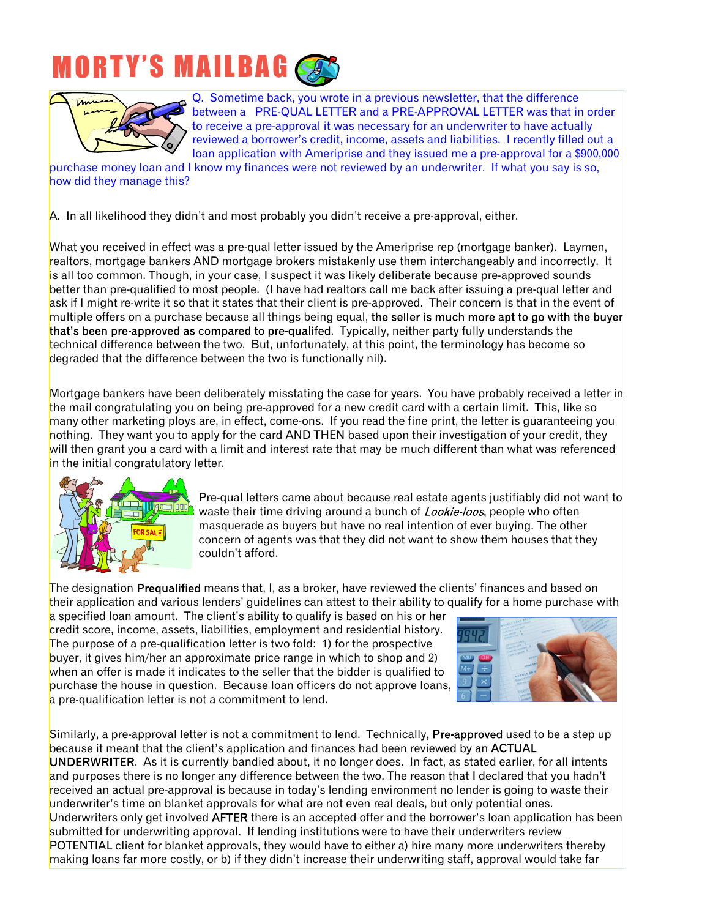## **MORTY'S MAILBAG**



Q. Sometime back, you wrote in a previous newsletter, that the difference between a PRE-QUAL LETTER and a PRE-APPROVAL LETTER was that in order to receive a pre-approval it was necessary for an underwriter to have actually reviewed a borrower's credit, income, assets and liabilities. I recently filled out a loan application with Ameriprise and they issued me a pre-approval for a \$900,000

purchase money loan and I know my finances were not reviewed by an underwriter. If what you say is so, how did they manage this?

A. In all likelihood they didn't and most probably you didn't receive a pre-approval, either.

What you received in effect was a pre-qual letter issued by the Ameriprise rep (mortgage banker). Laymen, realtors, mortgage bankers AND mortgage brokers mistakenly use them interchangeably and incorrectly. It is all too common. Though, in your case, I suspect it was likely deliberate because pre-approved sounds better than pre-qualified to most people. (I have had realtors call me back after issuing a pre-qual letter and ask if I might re-write it so that it states that their client is pre-approved. Their concern is that in the event of multiple offers on a purchase because all things being equal, the seller is much more apt to go with the buyer that's been pre-approved as compared to pre-qualifed. Typically, neither party fully understands the technical difference between the two. But, unfortunately, at this point, the terminology has become so degraded that the difference between the two is functionally nil).

Mortgage bankers have been deliberately misstating the case for years. You have probably received a letter in the mail congratulating you on being pre-approved for a new credit card with a certain limit. This, like so many other marketing ploys are, in effect, come-ons. If you read the fine print, the letter is guaranteeing you nothing. They want you to apply for the card AND THEN based upon their investigation of your credit, they will then grant you a card with a limit and interest rate that may be much different than what was referenced in the initial congratulatory letter.



Pre-qual letters came about because real estate agents justifiably did not want to waste their time driving around a bunch of *Lookie-loos*, people who often masquerade as buyers but have no real intention of ever buying. The other concern of agents was that they did not want to show them houses that they couldn't afford.

The designation Pregualified means that, I, as a broker, have reviewed the clients' finances and based on their application and various lenders' guidelines can attest to their ability to qualify for a home purchase with

a specified loan amount. The client's ability to qualify is based on his or her credit score, income, assets, liabilities, employment and residential history. The purpose of a pre-qualification letter is two fold: 1) for the prospective buyer, it gives him/her an approximate price range in which to shop and 2) when an offer is made it indicates to the seller that the bidder is qualified to purchase the house in question. Because loan officers do not approve loans, a pre-qualification letter is not a commitment to lend.



Similarly, a pre-approval letter is not a commitment to lend. Technically, Pre-approved used to be a step up because it meant that the client's application and finances had been reviewed by an ACTUAL UNDERWRITER. As it is currently bandied about, it no longer does. In fact, as stated earlier, for all intents and purposes there is no longer any difference between the two. The reason that I declared that you hadn't received an actual pre-approval is because in today's lending environment no lender is going to waste their underwriter's time on blanket approvals for what are not even real deals, but only potential ones.

Underwriters only get involved AFTER there is an accepted offer and the borrower's loan application has been submitted for underwriting approval. If lending institutions were to have their underwriters review POTENTIAL client for blanket approvals, they would have to either a) hire many more underwriters thereby making loans far more costly, or b) if they didn't increase their underwriting staff, approval would take far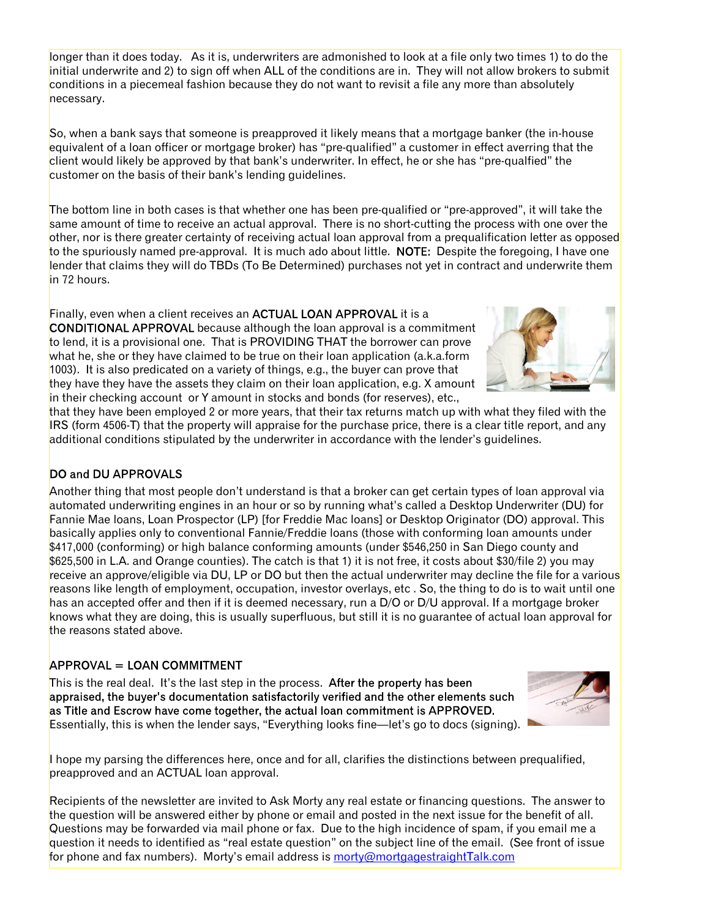longer than it does today. As it is, underwriters are admonished to look at a file only two times 1) to do the initial underwrite and 2) to sign off when ALL of the conditions are in. They will not allow brokers to submit conditions in a piecemeal fashion because they do not want to revisit a file any more than absolutely necessary.

So, when a bank says that someone is preapproved it likely means that a mortgage banker (the in-house equivalent of a loan officer or mortgage broker) has "pre-qualified" a customer in effect averring that the client would likely be approved by that bank's underwriter. In effect, he or she has "pre-qualfied" the customer on the basis of their bank's lending guidelines.

The bottom line in both cases is that whether one has been pre-qualified or "pre-approved", it will take the same amount of time to receive an actual approval. There is no short-cutting the process with one over the other, nor is there greater certainty of receiving actual loan approval from a prequalification letter as opposed to the spuriously named pre-approval. It is much ado about little. NOTE: Despite the foregoing, I have one lender that claims they will do TBDs (To Be Determined) purchases not yet in contract and underwrite them in 72 hours.

Finally, even when a client receives an ACTUAL LOAN APPROVAL it is a **CONDITIONAL APPROVAL** because although the loan approval is a commitment to lend, it is a provisional one. That is PROVIDING THAT the borrower can prove what he, she or they have claimed to be true on their loan application (a.k.a.form  $1003$ ). It is also predicated on a variety of things, e.g., the buyer can prove that they have they have the assets they claim on their loan application, e.g. X amount in their checking account or Y amount in stocks and bonds (for reserves), etc.,

that they have been employed 2 or more years, that their tax returns match up with what they filed with the IRS (form 4506-T) that the property will appraise for the purchase price, there is a clear title report, and any additional conditions stipulated by the underwriter in accordance with the lender's guidelines.

#### DO and DU APPROVALS

Another thing that most people don't understand is that a broker can get certain types of loan approval via automated underwriting engines in an hour or so by running what's called a Desktop Underwriter (DU) for Fannie Mae loans, Loan Prospector (LP) [for Freddie Mac loans] or Desktop Originator (DO) approval. This basically applies only to conventional Fannie/Freddie loans (those with conforming loan amounts under \$417,000 (conforming) or high balance conforming amounts (under \$546,250 in San Diego county and \$625,500 in L.A. and Orange counties). The catch is that 1) it is not free, it costs about \$30/file 2) you may receive an approve/eligible via DU, LP or DO but then the actual underwriter may decline the file for a various reasons like length of employment, occupation, investor overlays, etc . So, the thing to do is to wait until one has an accepted offer and then if it is deemed necessary, run a D/O or D/U approval. If a mortgage broker knows what they are doing, this is usually superfluous, but still it is no guarantee of actual loan approval for the reasons stated above.

#### **APPROVAL = LOAN COMMITMENT**

This is the real deal. It's the last step in the process. After the property has been appraised, the buyer's documentation satisfactorily verified and the other elements such as Title and Escrow have come together, the actual loan commitment is APPROVED. Essentially, this is when the lender says, "Everything looks fine—let's go to docs (signing).

I hope my parsing the differences here, once and for all, clarifies the distinctions between prequalified, preapproved and an ACTUAL loan approval.

Recipients of the newsletter are invited to Ask Morty any real estate or financing questions. The answer to the question will be answered either by phone or email and posted in the next issue for the benefit of all. Questions may be forwarded via mail phone or fax. Due to the high incidence of spam, if you email me a question it needs to identified as "real estate question" on the subject line of the email. (See front of issue for phone and fax numbers). Morty's email address is [morty@mortgagestraightTalk.com](mailto:morty@mortgagestraightTalk.com)